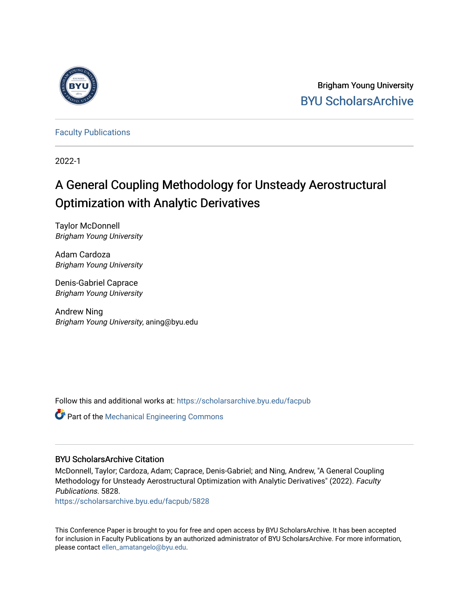

Brigham Young University [BYU ScholarsArchive](https://scholarsarchive.byu.edu/) 

[Faculty Publications](https://scholarsarchive.byu.edu/facpub)

2022-1

# A General Coupling Methodology for Unsteady Aerostructural Optimization with Analytic Derivatives

Taylor McDonnell Brigham Young University

Adam Cardoza Brigham Young University

Denis-Gabriel Caprace Brigham Young University

Andrew Ning Brigham Young University, aning@byu.edu

Follow this and additional works at: [https://scholarsarchive.byu.edu/facpub](https://scholarsarchive.byu.edu/facpub?utm_source=scholarsarchive.byu.edu%2Ffacpub%2F5828&utm_medium=PDF&utm_campaign=PDFCoverPages) 

Part of the [Mechanical Engineering Commons](https://network.bepress.com/hgg/discipline/293?utm_source=scholarsarchive.byu.edu%2Ffacpub%2F5828&utm_medium=PDF&utm_campaign=PDFCoverPages) 

## BYU ScholarsArchive Citation

McDonnell, Taylor; Cardoza, Adam; Caprace, Denis-Gabriel; and Ning, Andrew, "A General Coupling Methodology for Unsteady Aerostructural Optimization with Analytic Derivatives" (2022). Faculty Publications. 5828.

[https://scholarsarchive.byu.edu/facpub/5828](https://scholarsarchive.byu.edu/facpub/5828?utm_source=scholarsarchive.byu.edu%2Ffacpub%2F5828&utm_medium=PDF&utm_campaign=PDFCoverPages)

This Conference Paper is brought to you for free and open access by BYU ScholarsArchive. It has been accepted for inclusion in Faculty Publications by an authorized administrator of BYU ScholarsArchive. For more information, please contact [ellen\\_amatangelo@byu.edu](mailto:ellen_amatangelo@byu.edu).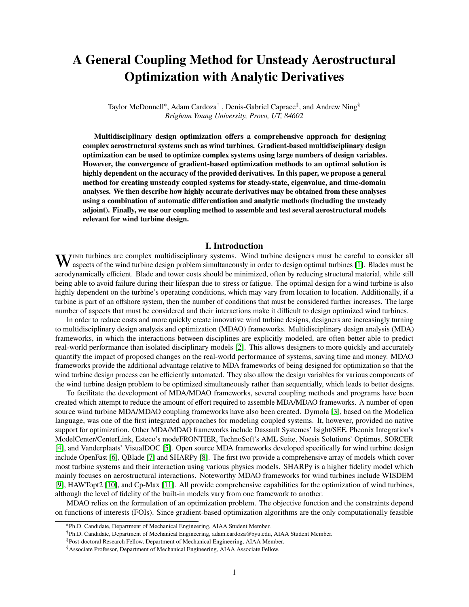## **A General Coupling Method for Unsteady Aerostructural Optimization with Analytic Derivatives**

Taylor McDonnell<sup>∗</sup>, Adam Cardoza<sup>†</sup>, Denis-Gabriel Caprace<sup>‡</sup>, and Andrew Ning<sup>§</sup> *Brigham Young University, Provo, UT, 84602*

**Multidisciplinary design optimization offers a comprehensive approach for designing complex aerostructural systems such as wind turbines. Gradient-based multidisciplinary design optimization can be used to optimize complex systems using large numbers of design variables. However, the convergence of gradient-based optimization methods to an optimal solution is highly dependent on the accuracy of the provided derivatives. In this paper, we propose a general method for creating unsteady coupled systems for steady-state, eigenvalue, and time-domain analyses. We then describe how highly accurate derivatives may be obtained from these analyses using a combination of automatic differentiation and analytic methods (including the unsteady adjoint). Finally, we use our coupling method to assemble and test several aerostructural models relevant for wind turbine design.**

## **I. Introduction**

WIND turbines are complex multidisciplinary systems. Wind turbine designers must be careful to consider all approximate wind turbine design problem simultaneously in order to design optimal turbines [1]. Blades must be aspects of the wind turbine design problem simultaneously in order to design optimal turbines [\[1\]](#page-17-0). Blades must be aerodynamically efficient. Blade and tower costs should be minimized, often by reducing structural material, while still being able to avoid failure during their lifespan due to stress or fatigue. The optimal design for a wind turbine is also highly dependent on the turbine's operating conditions, which may vary from location to location. Additionally, if a turbine is part of an offshore system, then the number of conditions that must be considered further increases. The large number of aspects that must be considered and their interactions make it difficult to design optimized wind turbines.

In order to reduce costs and more quickly create innovative wind turbine designs, designers are increasingly turning to multidisciplinary design analysis and optimization (MDAO) frameworks. Multidisciplinary design analysis (MDA) frameworks, in which the interactions between disciplines are explicitly modeled, are often better able to predict real-world performance than isolated disciplinary models [\[2\]](#page-17-1). This allows designers to more quickly and accurately quantify the impact of proposed changes on the real-world performance of systems, saving time and money. MDAO frameworks provide the additional advantage relative to MDA frameworks of being designed for optimization so that the wind turbine design process can be efficiently automated. They also allow the design variables for various components of the wind turbine design problem to be optimized simultaneously rather than sequentially, which leads to better designs.

To facilitate the development of MDA/MDAO frameworks, several coupling methods and programs have been created which attempt to reduce the amount of effort required to assemble MDA/MDAO frameworks. A number of open source wind turbine MDA/MDAO coupling frameworks have also been created. Dymola [\[3\]](#page-17-2), based on the Modelica language, was one of the first integrated approaches for modeling coupled systems. It, however, provided no native support for optimization. Other MDA/MDAO frameworks include Dassault Systemes' Isight/SEE, Pheonix Integration's ModelCenter/CenterLink, Esteco's modeFRONTIER, TechnoSoft's AML Suite, Noesis Solutions' Optimus, SORCER [\[4\]](#page-17-3), and Vanderplaats' VisualDOC [\[5\]](#page-17-4). Open source MDA frameworks developed specifically for wind turbine design include OpenFast [\[6\]](#page-17-5), QBlade [\[7\]](#page-17-6) and SHARPy [\[8\]](#page-17-7). The first two provide a comprehensive array of models which cover most turbine systems and their interaction using various physics models. SHARPy is a higher fidelity model which mainly focuses on aerostructural interactions. Noteworthy MDAO frameworks for wind turbines include WISDEM [\[9\]](#page-18-0), HAWTopt2 [\[10\]](#page-18-1), and Cp-Max [\[11\]](#page-18-2). All provide comprehensive capabilities for the optimization of wind turbines, although the level of fidelity of the built-in models vary from one framework to another.

MDAO relies on the formulation of an optimization problem. The objective function and the constraints depend on functions of interests (FOIs). Since gradient-based optimization algorithms are the only computationally feasible

<sup>∗</sup>Ph.D. Candidate, Department of Mechanical Engineering, AIAA Student Member.

<sup>†</sup>Ph.D. Candidate, Department of Mechanical Engineering, adam.cardoza@byu.edu, AIAA Student Member.

<sup>‡</sup>Post-doctoral Research Fellow, Department of Mechanical Engineering, AIAA Member.

<sup>§</sup>Associate Professor, Department of Mechanical Engineering, AIAA Associate Fellow.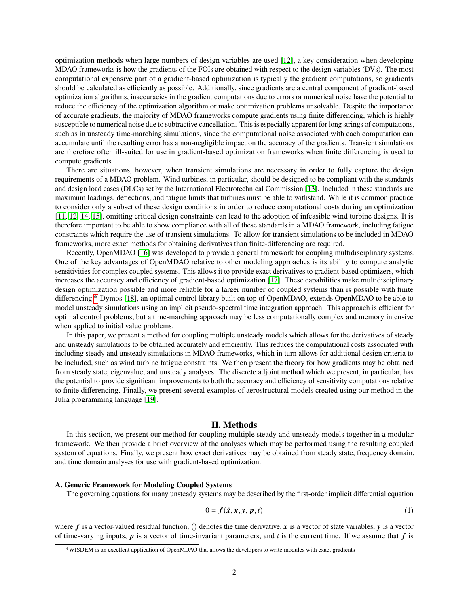optimization methods when large numbers of design variables are used [\[12\]](#page-18-3), a key consideration when developing MDAO frameworks is how the gradients of the FOIs are obtained with respect to the design variables (DVs). The most computational expensive part of a gradient-based optimization is typically the gradient computations, so gradients should be calculated as efficiently as possible. Additionally, since gradients are a central component of gradient-based optimization algorithms, inaccuracies in the gradient computations due to errors or numerical noise have the potential to reduce the efficiency of the optimization algorithm or make optimization problems unsolvable. Despite the importance of accurate gradients, the majority of MDAO frameworks compute gradients using finite differencing, which is highly susceptible to numerical noise due to subtractive cancellation. This is especially apparent for long strings of computations, such as in unsteady time-marching simulations, since the computational noise associated with each computation can accumulate until the resulting error has a non-negligible impact on the accuracy of the gradients. Transient simulations are therefore often ill-suited for use in gradient-based optimization frameworks when finite differencing is used to compute gradients.

There are situations, however, when transient simulations are necessary in order to fully capture the design requirements of a MDAO problem. Wind turbines, in particular, should be designed to be compliant with the standards and design load cases (DLCs) set by the International Electrotechnical Commission [\[13\]](#page-18-4). Included in these standards are maximum loadings, deflections, and fatigue limits that turbines must be able to withstand. While it is common practice to consider only a subset of these design conditions in order to reduce computational costs during an optimization [\[11,](#page-18-2) [12,](#page-18-3) [14,](#page-18-5) [15\]](#page-18-6), omitting critical design constraints can lead to the adoption of infeasible wind turbine designs. It is therefore important to be able to show compliance with all of these standards in a MDAO framework, including fatigue constraints which require the use of transient simulations. To allow for transient simulations to be included in MDAO frameworks, more exact methods for obtaining derivatives than finite-differencing are required.

Recently, OpenMDAO [\[16\]](#page-18-7) was developed to provide a general framework for coupling multidisciplinary systems. One of the key advantages of OpenMDAO relative to other modeling approaches is its ability to compute analytic sensitivities for complex coupled systems. This allows it to provide exact derivatives to gradient-based optimizers, which increases the accuracy and efficiency of gradient-based optimization [\[17\]](#page-18-8). These capabilities make multidisciplinary design optimization possible and more reliable for a larger number of coupled systems than is possible with finite differencing.[∗](#page-2-0) Dymos [\[18\]](#page-18-9), an optimal control library built on top of OpenMDAO, extends OpenMDAO to be able to model unsteady simulations using an implicit pseudo-spectral time integration approach. This approach is efficient for optimal control problems, but a time-marching approach may be less computationally complex and memory intensive when applied to initial value problems.

In this paper, we present a method for coupling multiple unsteady models which allows for the derivatives of steady and unsteady simulations to be obtained accurately and efficiently. This reduces the computational costs associated with including steady and unsteady simulations in MDAO frameworks, which in turn allows for additional design criteria to be included, such as wind turbine fatigue constraints. We then present the theory for how gradients may be obtained from steady state, eigenvalue, and unsteady analyses. The discrete adjoint method which we present, in particular, has the potential to provide significant improvements to both the accuracy and efficiency of sensitivity computations relative to finite differencing. Finally, we present several examples of aerostructural models created using our method in the Julia programming language [\[19\]](#page-18-10).

#### **II. Methods**

In this section, we present our method for coupling multiple steady and unsteady models together in a modular framework. We then provide a brief overview of the analyses which may be performed using the resulting coupled system of equations. Finally, we present how exact derivatives may be obtained from steady state, frequency domain, and time domain analyses for use with gradient-based optimization.

#### **A. Generic Framework for Modeling Coupled Systems**

The governing equations for many unsteady systems may be described by the first-order implicit differential equation

<span id="page-2-1"></span>
$$
0 = f(\dot{x}, x, y, p, t) \tag{1}
$$

where  $f$  is a vector-valued residual function, () denotes the time derivative, x is a vector of state variables, y is a vector of time-varying inputs,  $\boldsymbol{p}$  is a vector of time-invariant parameters, and  $\boldsymbol{t}$  is the current time. If we assume that  $\boldsymbol{f}$  is

<span id="page-2-0"></span><sup>∗</sup>WISDEM is an excellent application of OpenMDAO that allows the developers to write modules with exact gradients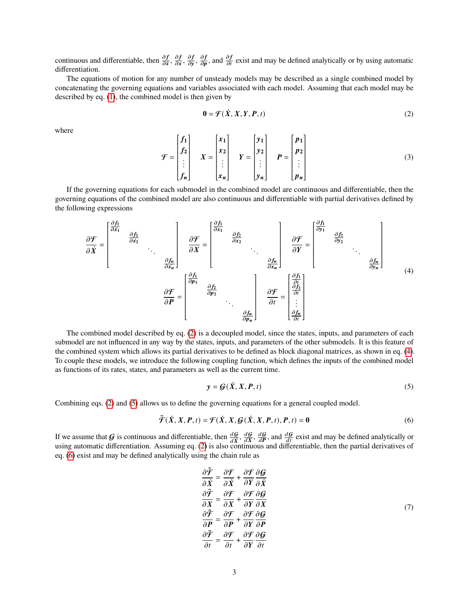continuous and differentiable, then  $\frac{\partial f}{\partial x}$ ,  $\frac{\partial f}{\partial x}$  $\frac{\partial f}{\partial x}, \frac{\partial f}{\partial y}$  $\frac{\partial f}{\partial y}, \frac{\partial f}{\partial p}$  $\frac{\partial f}{\partial p}$ , and  $\frac{\partial f}{\partial t}$  exist and may be defined analytically or by using automatic differentiation.

The equations of motion for any number of unsteady models may be described as a single combined model by concatenating the governing equations and variables associated with each model. Assuming that each model may be described by eq. [\(1\)](#page-2-1), the combined model is then given by

<span id="page-3-0"></span>
$$
\mathbf{0} = \mathcal{F}(\dot{X}, X, Y, P, t) \tag{2}
$$

where

$$
\mathcal{F} = \begin{bmatrix} f_1 \\ f_2 \\ \vdots \\ f_n \end{bmatrix} \quad X = \begin{bmatrix} x_1 \\ x_2 \\ \vdots \\ x_n \end{bmatrix} \quad Y = \begin{bmatrix} y_1 \\ y_2 \\ \vdots \\ y_n \end{bmatrix} \quad P = \begin{bmatrix} p_1 \\ p_2 \\ \vdots \\ p_n \end{bmatrix}
$$
 (3)

If the governing equations for each submodel in the combined model are continuous and differentiable, then the governing equations of the combined model are also continuous and differentiable with partial derivatives defined by the following expressions

<span id="page-3-1"></span>
$$
\frac{\partial \mathcal{F}}{\partial \dot{X}} = \begin{bmatrix} \frac{\partial f_1}{\partial x_1} & \frac{\partial f_2}{\partial x_2} & \cdots & \frac{\partial f_n}{\partial x_n} \end{bmatrix} \quad \frac{\partial \mathcal{F}}{\partial X} = \begin{bmatrix} \frac{\partial f_1}{\partial x_1} & \frac{\partial f_2}{\partial x_2} & \cdots & \frac{\partial f_n}{\partial x_n} \end{bmatrix} \quad \frac{\partial \mathcal{F}}{\partial X} = \begin{bmatrix} \frac{\partial f_1}{\partial y_1} & \frac{\partial f_2}{\partial y_2} & \cdots & \frac{\partial f_n}{\partial y_n} \end{bmatrix} \quad \frac{\partial \mathcal{F}}{\partial X} = \begin{bmatrix} \frac{\partial f_1}{\partial y_1} & \frac{\partial f_2}{\partial y_2} & \cdots & \frac{\partial f_n}{\partial y_n} \end{bmatrix} \quad (4)
$$

The combined model described by eq. [\(2\)](#page-3-0) is a decoupled model, since the states, inputs, and parameters of each submodel are not influenced in any way by the states, inputs, and parameters of the other submodels. It is this feature of the combined system which allows its partial derivatives to be defined as block diagonal matrices, as shown in eq. [\(4\)](#page-3-1). To couple these models, we introduce the following coupling function, which defines the inputs of the combined model as functions of its rates, states, and parameters as well as the current time.

<span id="page-3-2"></span>
$$
y = G(\dot{X}, X, P, t) \tag{5}
$$

Combining eqs. [\(2\)](#page-3-0) and [\(5\)](#page-3-2) allows us to define the governing equations for a general coupled model.

<span id="page-3-3"></span>
$$
\tilde{\mathcal{F}}(\dot{X}, X, P, t) = \mathcal{F}(\dot{X}, X, \mathcal{G}(\dot{X}, X, P, t), P, t) = 0
$$
\n<sup>(6)</sup>

If we assume that G is continuous and differentiable, then  $\frac{dG}{d\vec{X}}$ ,  $\frac{dG}{dX}$  $\frac{dG}{dX}$ ,  $\frac{dG}{dP}$  $\frac{dG}{dP}$ , and  $\frac{dG}{dt}$  exist and may be defined analytically or using automatic differentiation. Assuming eq. [\(2\)](#page-3-0) is also continuous and differentiable, then the partial derivatives of eq. [\(6\)](#page-3-3) exist and may be defined analytically using the chain rule as

$$
\frac{\partial \tilde{\mathcal{F}}}{\partial \dot{X}} = \frac{\partial \mathcal{F}}{\partial \dot{X}} + \frac{\partial \mathcal{F}}{\partial Y} \frac{\partial \mathcal{G}}{\partial \dot{X}} \n\frac{\partial \tilde{\mathcal{F}}}{\partial X} = \frac{\partial \mathcal{F}}{\partial X} + \frac{\partial \mathcal{F}}{\partial Y} \frac{\partial \mathcal{G}}{\partial X} \n\frac{\partial \tilde{\mathcal{F}}}{\partial P} = \frac{\partial \mathcal{F}}{\partial P} + \frac{\partial \mathcal{F}}{\partial Y} \frac{\partial \mathcal{G}}{\partial P} \n\frac{\partial \tilde{\mathcal{F}}}{\partial t} = \frac{\partial \mathcal{F}}{\partial t} + \frac{\partial \mathcal{F}}{\partial Y} \frac{\partial \mathcal{G}}{\partial t}
$$
\n(7)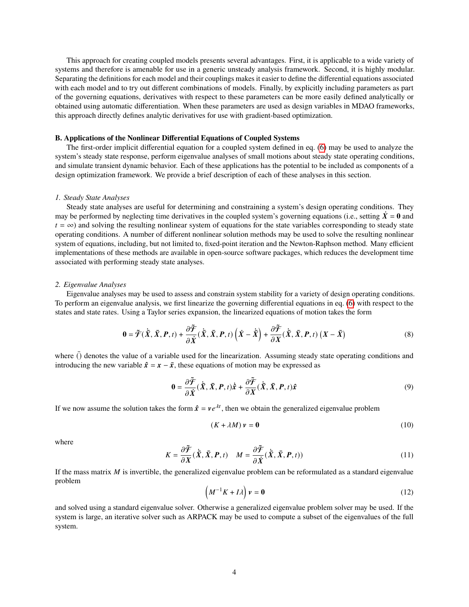This approach for creating coupled models presents several advantages. First, it is applicable to a wide variety of systems and therefore is amenable for use in a generic unsteady analysis framework. Second, it is highly modular. Separating the definitions for each model and their couplings makes it easier to define the differential equations associated with each model and to try out different combinations of models. Finally, by explicitly including parameters as part of the governing equations, derivatives with respect to these parameters can be more easily defined analytically or obtained using automatic differentiation. When these parameters are used as design variables in MDAO frameworks, this approach directly defines analytic derivatives for use with gradient-based optimization.

## **B. Applications of the Nonlinear Differential Equations of Coupled Systems**

The first-order implicit differential equation for a coupled system defined in eq. [\(6\)](#page-3-3) may be used to analyze the system's steady state response, perform eigenvalue analyses of small motions about steady state operating conditions, and simulate transient dynamic behavior. Each of these applications has the potential to be included as components of a design optimization framework. We provide a brief description of each of these analyses in this section.

#### *1. Steady State Analyses*

Steady state analyses are useful for determining and constraining a system's design operating conditions. They may be performed by neglecting time derivatives in the coupled system's governing equations (i.e., setting  $\dot{X} = 0$  and  $t = \infty$ ) and solving the resulting nonlinear system of equations for the state variables corresponding to steady state operating conditions. A number of different nonlinear solution methods may be used to solve the resulting nonlinear system of equations, including, but not limited to, fixed-point iteration and the Newton-Raphson method. Many efficient implementations of these methods are available in open-source software packages, which reduces the development time associated with performing steady state analyses.

#### *2. Eigenvalue Analyses*

Eigenvalue analyses may be used to assess and constrain system stability for a variety of design operating conditions. To perform an eigenvalue analysis, we first linearize the governing differential equations in eq. [\(6\)](#page-3-3) with respect to the states and state rates. Using a Taylor series expansion, the linearized equations of motion takes the form

$$
\mathbf{0} = \tilde{\mathcal{F}}(\dot{\bar{X}}, \bar{X}, P, t) + \frac{\partial \tilde{\mathcal{F}}}{\partial \dot{X}}(\dot{\bar{X}}, \bar{X}, P, t) \left(\dot{X} - \dot{\bar{X}}\right) + \frac{\partial \tilde{\mathcal{F}}}{\partial X}(\dot{\bar{X}}, \bar{X}, P, t) \left(X - \bar{X}\right)
$$
(8)

where  $\bar{()}$  denotes the value of a variable used for the linearization. Assuming steady state operating conditions and introducing the new variable  $\hat{x} = x - \bar{x}$ , these equations of motion may be expressed as

$$
\mathbf{0} = \frac{\partial \tilde{\mathcal{F}}}{\partial \dot{X}}(\dot{\bar{X}}, \bar{X}, P, t)\dot{\hat{\mathbf{x}}} + \frac{\partial \tilde{\mathcal{F}}}{\partial X}(\dot{\bar{X}}, \bar{X}, P, t)\hat{\mathbf{x}} \tag{9}
$$

If we now assume the solution takes the form  $\hat{x} = v e^{\lambda t}$ , then we obtain the generalized eigenvalue problem

$$
(K + \lambda M)\,\nu = 0\tag{10}
$$

where

$$
K = \frac{\partial \tilde{\mathcal{F}}}{\partial X}(\dot{\bar{X}}, \bar{X}, P, t) \quad M = \frac{\partial \tilde{\mathcal{F}}}{\partial \dot{X}}(\dot{\bar{X}}, \bar{X}, P, t)) \tag{11}
$$

If the mass matrix  $M$  is invertible, the generalized eigenvalue problem can be reformulated as a standard eigenvalue problem

$$
\left(M^{-1}K + I\lambda\right)\nu = 0\tag{12}
$$

and solved using a standard eigenvalue solver. Otherwise a generalized eigenvalue problem solver may be used. If the system is large, an iterative solver such as ARPACK may be used to compute a subset of the eigenvalues of the full system.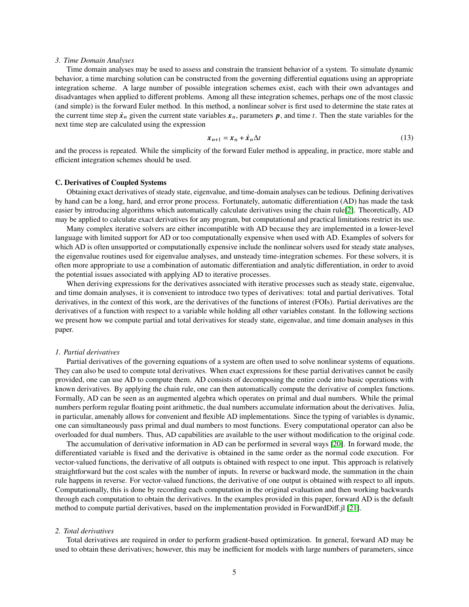#### *3. Time Domain Analyses*

Time domain analyses may be used to assess and constrain the transient behavior of a system. To simulate dynamic behavior, a time marching solution can be constructed from the governing differential equations using an appropriate integration scheme. A large number of possible integration schemes exist, each with their own advantages and disadvantages when applied to different problems. Among all these integration schemes, perhaps one of the most classic (and simple) is the forward Euler method. In this method, a nonlinear solver is first used to determine the state rates at the current time step  $\dot{x}_n$  given the current state variables  $x_n$ , parameters p, and time t. Then the state variables for the next time step are calculated using the expression

$$
x_{n+1} = x_n + \dot{x}_n \Delta t \tag{13}
$$

and the process is repeated. While the simplicity of the forward Euler method is appealing, in practice, more stable and efficient integration schemes should be used.

#### **C. Derivatives of Coupled Systems**

Obtaining exact derivatives of steady state, eigenvalue, and time-domain analyses can be tedious. Defining derivatives by hand can be a long, hard, and error prone process. Fortunately, automatic differentiation (AD) has made the task easier by introducing algorithms which automatically calculate derivatives using the chain rule[\[2\]](#page-17-1). Theoretically, AD may be applied to calculate exact derivatives for any program, but computational and practical limitations restrict its use.

Many complex iterative solvers are either incompatible with AD because they are implemented in a lower-level language with limited support for AD or too computationally expensive when used with AD. Examples of solvers for which AD is often unsupported or computationally expensive include the nonlinear solvers used for steady state analyses, the eigenvalue routines used for eigenvalue analyses, and unsteady time-integration schemes. For these solvers, it is often more appropriate to use a combination of automatic differentiation and analytic differentiation, in order to avoid the potential issues associated with applying AD to iterative processes.

When deriving expressions for the derivatives associated with iterative processes such as steady state, eigenvalue, and time domain analyses, it is convenient to introduce two types of derivatives: total and partial derivatives. Total derivatives, in the context of this work, are the derivatives of the functions of interest (FOIs). Partial derivatives are the derivatives of a function with respect to a variable while holding all other variables constant. In the following sections we present how we compute partial and total derivatives for steady state, eigenvalue, and time domain analyses in this paper.

#### *1. Partial derivatives*

Partial derivatives of the governing equations of a system are often used to solve nonlinear systems of equations. They can also be used to compute total derivatives. When exact expressions for these partial derivatives cannot be easily provided, one can use AD to compute them. AD consists of decomposing the entire code into basic operations with known derivatives. By applying the chain rule, one can then automatically compute the derivative of complex functions. Formally, AD can be seen as an augmented algebra which operates on primal and dual numbers. While the primal numbers perform regular floating point arithmetic, the dual numbers accumulate information about the derivatives. Julia, in particular, amenably allows for convenient and flexible AD implementations. Since the typing of variables is dynamic, one can simultaneously pass primal and dual numbers to most functions. Every computational operator can also be overloaded for dual numbers. Thus, AD capabilities are available to the user without modification to the original code.

The accumulation of derivative information in AD can be performed in several ways [\[20\]](#page-18-11). In forward mode, the differentiated variable is fixed and the derivative is obtained in the same order as the normal code execution. For vector-valued functions, the derivative of all outputs is obtained with respect to one input. This approach is relatively straightforward but the cost scales with the number of inputs. In reverse or backward mode, the summation in the chain rule happens in reverse. For vector-valued functions, the derivative of one output is obtained with respect to all inputs. Computationally, this is done by recording each computation in the original evaluation and then working backwards through each computation to obtain the derivatives. In the examples provided in this paper, forward AD is the default method to compute partial derivatives, based on the implementation provided in ForwardDiff.jl [\[21\]](#page-18-12).

## *2. Total derivatives*

Total derivatives are required in order to perform gradient-based optimization. In general, forward AD may be used to obtain these derivatives; however, this may be inefficient for models with large numbers of parameters, since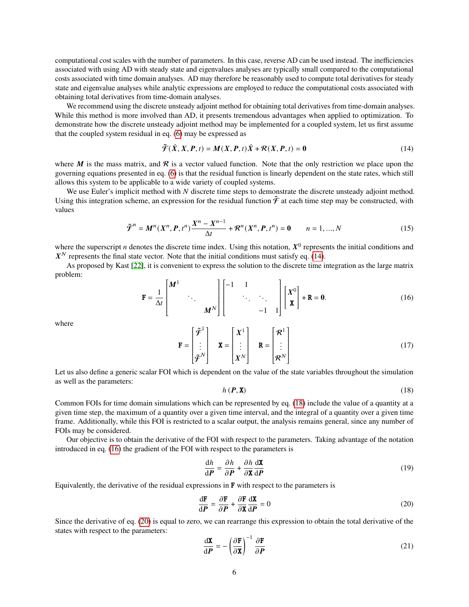computational cost scales with the number of parameters. In this case, reverse AD can be used instead. The inefficiencies associated with using AD with steady state and eigenvalues analyses are typically small compared to the computational costs associated with time domain analyses. AD may therefore be reasonably used to compute total derivatives for steady state and eigenvalue analyses while analytic expressions are employed to reduce the computational costs associated with obtaining total derivatives from time-domain analyses.

We recommend using the discrete unsteady adjoint method for obtaining total derivatives from time-domain analyses. While this method is more involved than AD, it presents tremendous advantages when applied to optimization. To demonstrate how the discrete unsteady adjoint method may be implemented for a coupled system, let us first assume that the coupled system residual in eq. [\(6\)](#page-3-3) may be expressed as

<span id="page-6-0"></span>
$$
\tilde{\mathcal{F}}(\dot{X}, X, P, t) = M(X, P, t)\dot{X} + \mathcal{R}(X, P, t) = 0
$$
\n(14)

where M is the mass matrix, and R is a vector valued function. Note that the only restriction we place upon the governing equations presented in eq. [\(6\)](#page-3-3) is that the residual function is linearly dependent on the state rates, which still allows this system to be applicable to a wide variety of coupled systems.

We use Euler's implicit method with  $N$  discrete time steps to demonstrate the discrete unsteady adjoint method. Using this integration scheme, an expression for the residual function  $\tilde{\mathcal{F}}$  at each time step may be constructed, with values

$$
\tilde{\mathcal{F}}^n = M^n(X^n, P, t^n) \frac{X^n - X^{n-1}}{\Delta t} + \mathcal{R}^n(X^n, P, t^n) = 0 \qquad n = 1, ..., N
$$
\n(15)

where the superscript *n* denotes the discrete time index. Using this notation,  $X^0$  represents the initial conditions and  $X<sup>N</sup>$  represents the final state vector. Note that the initial conditions must satisfy eq. [\(14\)](#page-6-0).

As proposed by Kast [\[22\]](#page-18-13), it is convenient to express the solution to the discrete time integration as the large matrix problem:

<span id="page-6-2"></span>
$$
\mathbf{F} = \frac{1}{\Delta t} \begin{bmatrix} \mathbf{M}^1 & & \\ & \ddots & \\ & & \mathbf{M}^N \end{bmatrix} \begin{bmatrix} -1 & 1 & \\ & \ddots & \\ & & -1 & 1 \end{bmatrix} \begin{bmatrix} \mathbf{X}^0 \\ \mathbf{X} \end{bmatrix} + \mathbf{R} = \mathbf{0}.
$$

where

$$
\mathbf{F} = \begin{bmatrix} \tilde{\mathcal{F}}^1 \\ \vdots \\ \tilde{\mathcal{F}}^N \end{bmatrix} \quad \mathbf{X} = \begin{bmatrix} X^1 \\ \vdots \\ X^N \end{bmatrix} \quad \mathbf{R} = \begin{bmatrix} \mathcal{R}^1 \\ \vdots \\ \mathcal{R}^N \end{bmatrix}
$$
 (17)

 Let us also define a generic scalar FOI which is dependent on the value of the state variables throughout the simulation as well as the parameters:

<span id="page-6-1"></span>
$$
h\left(\boldsymbol{P},\mathbf{X}\right) \tag{18}
$$

Common FOIs for time domain simulations which can be represented by eq. [\(18\)](#page-6-1) include the value of a quantity at a given time step, the maximum of a quantity over a given time interval, and the integral of a quantity over a given time frame. Additionally, while this FOI is restricted to a scalar output, the analysis remains general, since any number of FOIs may be considered.

Our objective is to obtain the derivative of the FOI with respect to the parameters. Taking advantage of the notation introduced in eq. [\(16\)](#page-6-2) the gradient of the FOI with respect to the parameters is

<span id="page-6-5"></span>
$$
\frac{\mathrm{d}h}{\mathrm{d}P} = \frac{\partial h}{\partial P} + \frac{\partial h}{\partial \mathbf{X}} \frac{\mathrm{d}\mathbf{X}}{\mathrm{d}P}
$$
(19)

Equivalently, the derivative of the residual expressions in  **with respect to the parameters is** 

<span id="page-6-3"></span>
$$
\frac{\text{d}\mathbf{F}}{\text{d}P} = \frac{\partial \mathbf{F}}{\partial P} + \frac{\partial \mathbf{F}}{\partial \mathbf{X}} \frac{\text{d}\mathbf{X}}{\text{d}P} = 0
$$
\n(20)

Since the derivative of eq. [\(20\)](#page-6-3) is equal to zero, we can rearrange this expression to obtain the total derivative of the states with respect to the parameters:

<span id="page-6-4"></span>
$$
\frac{\mathrm{d}\mathbf{X}}{\mathrm{d}\boldsymbol{P}} = -\left(\frac{\partial \mathbf{F}}{\partial \mathbf{X}}\right)^{-1} \frac{\partial \mathbf{F}}{\partial \boldsymbol{P}}
$$
(21)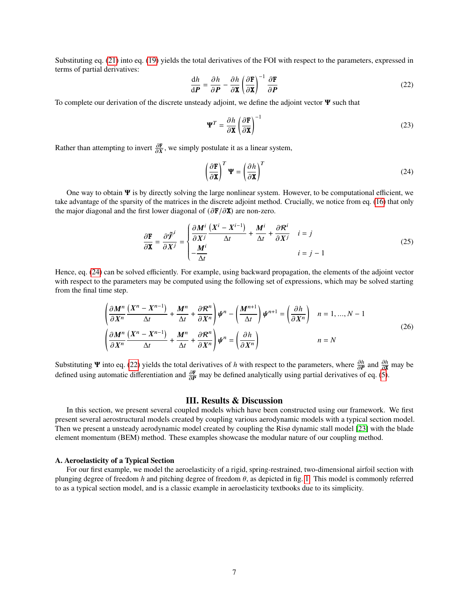Substituting eq. [\(21\)](#page-6-4) into eq. [\(19\)](#page-6-5) yields the total derivatives of the FOI with respect to the parameters, expressed in terms of partial derivatives:

<span id="page-7-1"></span>
$$
\frac{\mathrm{d}h}{\mathrm{d}\boldsymbol{P}} = \frac{\partial h}{\partial \boldsymbol{P}} - \frac{\partial h}{\partial \mathbf{X}} \left( \frac{\partial \mathbf{F}}{\partial \mathbf{X}} \right)^{-1} \frac{\partial \mathbf{F}}{\partial \boldsymbol{P}}
$$
(22)

To complete our derivation of the discrete unsteady adjoint, we define the adjoint vector  $\Psi$  such that

$$
\mathbf{\Psi}^T = \frac{\partial h}{\partial \mathbf{X}} \left( \frac{\partial \mathbf{F}}{\partial \mathbf{X}} \right)^{-1} \tag{23}
$$

Rather than attempting to invert  $\frac{\partial \mathbf{F}}{\partial x}$ , we simply postulate it as a linear system,

<span id="page-7-0"></span>
$$
\left(\frac{\partial \mathbf{F}}{\partial \mathbf{x}}\right)^T \mathbf{\Psi} = \left(\frac{\partial h}{\partial \mathbf{x}}\right)^T \tag{24}
$$

One way to obtain  $\Psi$  is by directly solving the large nonlinear system. However, to be computational efficient, we take advantage of the sparsity of the matrices in the discrete adjoint method. Crucially, we notice from eq. [\(16\)](#page-6-2) that only the major diagonal and the first lower diagonal of  $(\partial \mathbf{F}/\partial \mathbf{X})$  are non-zero.

$$
\frac{\partial \mathbf{F}}{\partial \mathbf{X}} = \frac{\partial \tilde{\mathbf{F}}^i}{\partial X^j} = \begin{cases} \frac{\partial M^i}{\partial X^j} \frac{(X^i - X^{i-1})}{\Delta t} + \frac{M^i}{\Delta t} + \frac{\partial \mathcal{R}^i}{\partial X^j} & i = j \\ -\frac{M^i}{\Delta t} & i = j - 1 \end{cases} \tag{25}
$$

Hence, eq. [\(24\)](#page-7-0) can be solved efficiently. For example, using backward propagation, the elements of the adjoint vector with respect to the parameters may be computed using the following set of expressions, which may be solved starting from the final time step.

$$
\left(\frac{\partial M^n}{\partial X^n} \frac{(X^n - X^{n-1})}{\Delta t} + \frac{M^n}{\Delta t} + \frac{\partial \mathcal{R}^n}{\partial X^n}\right) \psi^n - \left(\frac{M^{n+1}}{\Delta t}\right) \psi^{n+1} = \left(\frac{\partial h}{\partial X^n}\right) \quad n = 1, ..., N-1
$$
\n
$$
\left(\frac{\partial M^n}{\partial X^n} \frac{(X^n - X^{n-1})}{\Delta t} + \frac{M^n}{\Delta t} + \frac{\partial \mathcal{R}^n}{\partial X^n}\right) \psi^n = \left(\frac{\partial h}{\partial X^n}\right) \qquad n = N
$$
\n(26)

Substituting **Y** into eq. [\(22\)](#page-7-1) yields the total derivatives of h with respect to the parameters, where  $\frac{\partial h}{\partial \bm{P}}$  and  $\frac{\partial h}{\partial \bm{x}}$  may be defined using automatic differentiation and  $\frac{\partial \mathbf{F}}{\partial \mathbf{P}}$  may be defined analytically using partial derivatives of eq. [\(5\)](#page-3-2).

## **III. Results & Discussion**

In this section, we present several coupled models which have been constructed using our framework. We first present several aerostructural models created by coupling various aerodynamic models with a typical section model. Then we present a unsteady aerodynamic model created by coupling the Risø dynamic stall model [\[23\]](#page-18-14) with the blade element momentum (BEM) method. These examples showcase the modular nature of our coupling method.

#### **A. Aeroelasticity of a Typical Section**

For our first example, we model the aeroelasticity of a rigid, spring-restrained, two-dimensional airfoil section with plunging degree of freedom  $h$  and pitching degree of freedom  $\theta$ , as depicted in fig. [1.](#page-8-0) This model is commonly referred to as a typical section model, and is a classic example in aeroelasticity textbooks due to its simplicity.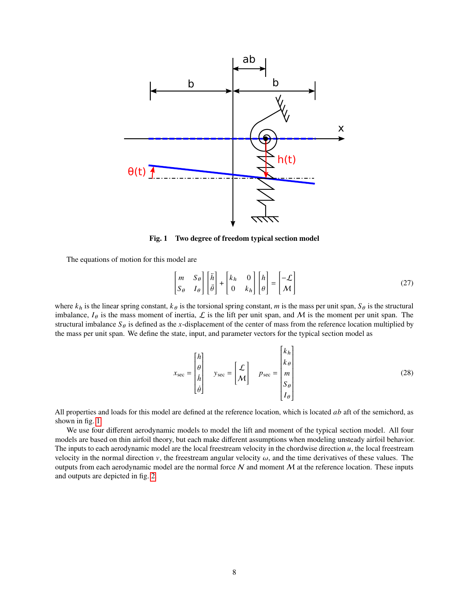<span id="page-8-0"></span>

**Fig. 1 Two degree of freedom typical section model**

The equations of motion for this model are

$$
\begin{bmatrix} m & S_{\theta} \\ S_{\theta} & I_{\theta} \end{bmatrix} \begin{bmatrix} \ddot{n} \\ \ddot{\theta} \end{bmatrix} + \begin{bmatrix} k_h & 0 \\ 0 & k_h \end{bmatrix} \begin{bmatrix} h \\ \theta \end{bmatrix} = \begin{bmatrix} -\mathcal{L} \\ \mathcal{M} \end{bmatrix} \tag{27}
$$

where  $k_h$  is the linear spring constant,  $k_\theta$  is the torsional spring constant, m is the mass per unit span,  $S_\theta$  is the structural imbalance,  $I_{\theta}$  is the mass moment of inertia,  $\mathcal{L}$  is the lift per unit span, and M is the moment per unit span. The structural imbalance  $S_{\theta}$  is defined as the x-displacement of the center of mass from the reference location multiplied by the mass per unit span. We define the state, input, and parameter vectors for the typical section model as

$$
x_{\text{sec}} = \begin{bmatrix} h \\ \theta \\ h \\ \dot{\theta} \end{bmatrix} \quad y_{\text{sec}} = \begin{bmatrix} \mathcal{L} \\ \mathcal{M} \end{bmatrix} \quad p_{\text{sec}} = \begin{bmatrix} k_h \\ k_\theta \\ m \\ S_\theta \\ I_\theta \end{bmatrix} \tag{28}
$$

Í

Ī

All properties and loads for this model are defined at the reference location, which is located  $ab$  aft of the semichord, as shown in fig. [1.](#page-8-0)

We use four different aerodynamic models to model the lift and moment of the typical section model. All four models are based on thin airfoil theory, but each make different assumptions when modeling unsteady airfoil behavior. The inputs to each aerodynamic model are the local freestream velocity in the chordwise direction  $u$ , the local freestream velocity in the normal direction  $v$ , the freestream angular velocity  $\omega$ , and the time derivatives of these values. The outputs from each aerodynamic model are the normal force  $N$  and moment  $M$  at the reference location. These inputs and outputs are depicted in fig. [2.](#page-9-0)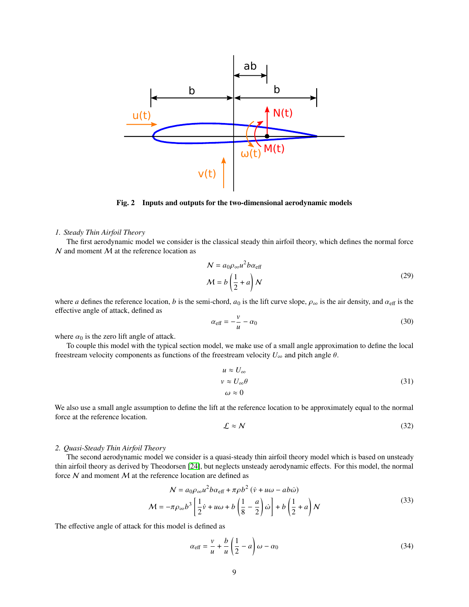<span id="page-9-0"></span>

**Fig. 2 Inputs and outputs for the two-dimensional aerodynamic models**

#### *1. Steady Thin Airfoil Theory*

The first aerodynamic model we consider is the classical steady thin airfoil theory, which defines the normal force  $N$  and moment  $M$  at the reference location as

<span id="page-9-1"></span>
$$
N = a_0 \rho_{\infty} u^2 b \alpha_{\text{eff}}
$$
  

$$
M = b \left(\frac{1}{2} + a\right) N
$$
 (29)

where *a* defines the reference location, *b* is the semi-chord,  $a_0$  is the lift curve slope,  $\rho_{\infty}$  is the air density, and  $\alpha_{\text{eff}}$  is the effective angle of attack, defined as

$$
\alpha_{\text{eff}} = -\frac{v}{u} - \alpha_0 \tag{30}
$$

where  $\alpha_0$  is the zero lift angle of attack.

To couple this model with the typical section model, we make use of a small angle approximation to define the local freestream velocity components as functions of the freestream velocity  $U_{\infty}$  and pitch angle  $\theta$ .

$$
u \approx U_{\infty}
$$
  
\n
$$
v \approx U_{\infty} \theta
$$
  
\n
$$
\omega \approx 0
$$
\n(31)

We also use a small angle assumption to define the lift at the reference location to be approximately equal to the normal force at the reference location.

<span id="page-9-2"></span>
$$
\mathcal{L} \approx \mathcal{N} \tag{32}
$$

#### *2. Quasi-Steady Thin Airfoil Theory*

The second aerodynamic model we consider is a quasi-steady thin airfoil theory model which is based on unsteady thin airfoil theory as derived by Theodorsen [\[24\]](#page-18-15), but neglects unsteady aerodynamic effects. For this model, the normal force  $N$  and moment  $M$  at the reference location are defined as

<span id="page-9-3"></span>
$$
N = a_0 \rho_\infty u^2 b \alpha_{\text{eff}} + \pi \rho b^2 \left(\dot{v} + u\omega - a b \dot{\omega}\right)
$$
  

$$
M = -\pi \rho_\infty b^3 \left[\frac{1}{2}\dot{v} + u\omega + b\left(\frac{1}{8} - \frac{a}{2}\right)\dot{\omega}\right] + b\left(\frac{1}{2} + a\right)N
$$
 (33)

The effective angle of attack for this model is defined as

<span id="page-9-4"></span>
$$
\alpha_{\text{eff}} = \frac{v}{u} + \frac{b}{u} \left( \frac{1}{2} - a \right) \omega - \alpha_0 \tag{34}
$$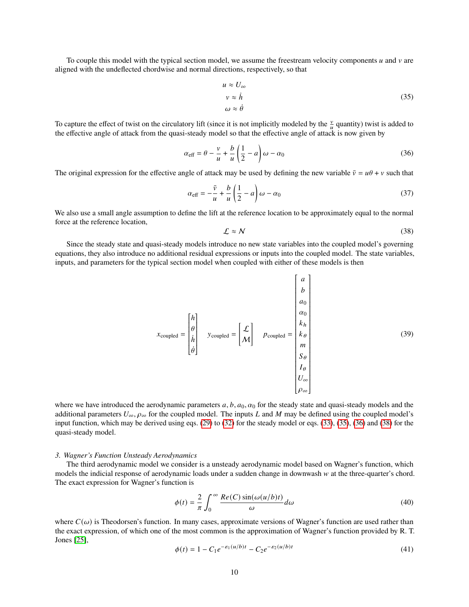To couple this model with the typical section model, we assume the freestream velocity components  $u$  and  $v$  are aligned with the undeflected chordwise and normal directions, respectively, so that

<span id="page-10-0"></span>
$$
u \approx U_{\infty}
$$
  
\n
$$
v \approx \dot{h}
$$
  
\n
$$
\omega \approx \dot{\theta}
$$
 (35)

To capture the effect of twist on the circulatory lift (since it is not implicitly modeled by the  $\frac{v}{u}$  quantity) twist is added to the effective angle of attack from the quasi-steady model so that the effective angle of attack is now given by

<span id="page-10-1"></span>
$$
\alpha_{\text{eff}} = \theta - \frac{v}{u} + \frac{b}{u} \left( \frac{1}{2} - a \right) \omega - \alpha_0 \tag{36}
$$

The original expression for the effective angle of attack may be used by defining the new variable  $\bar{v} = u\theta + v$  such that

$$
\alpha_{\text{eff}} = -\frac{\bar{v}}{u} + \frac{b}{u} \left(\frac{1}{2} - a\right) \omega - \alpha_0 \tag{37}
$$

We also use a small angle assumption to define the lift at the reference location to be approximately equal to the normal force at the reference location,

<span id="page-10-2"></span>
$$
\mathcal{L} \approx \mathcal{N} \tag{38}
$$

Since the steady state and quasi-steady models introduce no new state variables into the coupled model's governing equations, they also introduce no additional residual expressions or inputs into the coupled model. The state variables, inputs, and parameters for the typical section model when coupled with either of these models is then

$$
x_{\text{coupled}} = \begin{bmatrix} h \\ \theta \\ h \\ \dot{\theta} \end{bmatrix} \quad y_{\text{coupled}} = \begin{bmatrix} \mathcal{L} \\ \mathcal{M} \end{bmatrix} \quad p_{\text{coupled}} = \begin{bmatrix} a \\ b \\ a_0 \\ k_h \\ k_\theta \\ m \\ S_\theta \\ I_\theta \\ U_\infty \\ \rho_\infty \end{bmatrix} \tag{39}
$$

where we have introduced the aerodynamic parameters  $a, b, a_0, \alpha_0$  for the steady state and quasi-steady models and the additional parameters  $U_{\infty}$ ,  $\rho_{\infty}$  for the coupled model. The inputs L and M may be defined using the coupled model's input function, which may be derived using eqs. [\(29\)](#page-9-1) to [\(32\)](#page-9-2) for the steady model or eqs. [\(33\)](#page-9-3), [\(35\)](#page-10-0), [\(36\)](#page-10-1) and [\(38\)](#page-10-2) for the quasi-steady model.

#### *3. Wagner's Function Unsteady Aerodynamics*

The third aerodynamic model we consider is a unsteady aerodynamic model based on Wagner's function, which models the indicial response of aerodynamic loads under a sudden change in downwash w at the three-quarter's chord. The exact expression for Wagner's function is

$$
\phi(t) = \frac{2}{\pi} \int_0^\infty \frac{Re(C) \sin(\omega(u/b)t)}{\omega} d\omega \tag{40}
$$

Ī

Í

where  $C(\omega)$  is Theodorsen's function. In many cases, approximate versions of Wagner's function are used rather than the exact expression, of which one of the most common is the approximation of Wagner's function provided by R. T. Jones [\[25\]](#page-18-16),

<span id="page-10-3"></span>
$$
\phi(t) = 1 - C_1 e^{-\varepsilon_1 (u/b)t} - C_2 e^{-\varepsilon_2 (u/b)t}
$$
\n(41)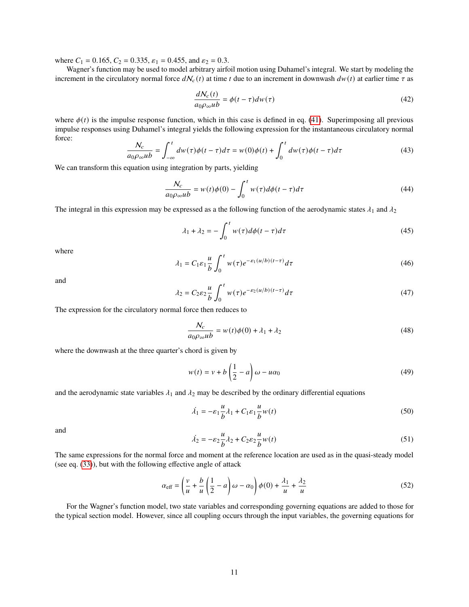where  $C_1 = 0.165$ ,  $C_2 = 0.335$ ,  $\varepsilon_1 = 0.455$ , and  $\varepsilon_2 = 0.3$ .

Wagner's function may be used to model arbitrary airfoil motion using Duhamel's integral. We start by modeling the increment in the circulatory normal force  $dN_c(t)$  at time t due to an increment in downwash  $dw(t)$  at earlier time  $\tau$  as

$$
\frac{dN_c(t)}{a_0 \rho_{\infty} u b} = \phi(t - \tau) dw(\tau)
$$
\n(42)

where  $\phi(t)$  is the impulse response function, which in this case is defined in eq. [\(41\)](#page-10-3). Superimposing all previous impulse responses using Duhamel's integral yields the following expression for the instantaneous circulatory normal force:

$$
\frac{N_c}{a_0 \rho_\infty u b} = \int_{-\infty}^t dw(\tau) \phi(t-\tau) d\tau = w(0) \phi(t) + \int_0^t dw(\tau) \phi(t-\tau) d\tau
$$
\n(43)

We can transform this equation using integration by parts, yielding

$$
\frac{N_c}{a_0 \rho_\infty u b} = w(t)\phi(0) - \int_0^t w(\tau) d\phi(t - \tau) d\tau
$$
\n(44)

The integral in this expression may be expressed as a the following function of the aerodynamic states  $\lambda_1$  and  $\lambda_2$ 

$$
\lambda_1 + \lambda_2 = -\int_0^t w(\tau)d\phi(t-\tau)d\tau
$$
\n(45)

where

$$
\lambda_1 = C_1 \varepsilon_1 \frac{u}{b} \int_0^t w(\tau) e^{-\varepsilon_1 (u/b)(t-\tau)} d\tau \tag{46}
$$

and

$$
\lambda_2 = C_2 \varepsilon_2 \frac{u}{b} \int_0^t w(\tau) e^{-\varepsilon_2(u/b)(t-\tau)} d\tau \tag{47}
$$

The expression for the circulatory normal force then reduces to

$$
\frac{N_c}{a_0 \rho_\infty u b} = w(t)\phi(0) + \lambda_1 + \lambda_2 \tag{48}
$$

where the downwash at the three quarter's chord is given by

$$
w(t) = v + b\left(\frac{1}{2} - a\right)\omega - u\alpha_0\tag{49}
$$

and the aerodynamic state variables  $\lambda_1$  and  $\lambda_2$  may be described by the ordinary differential equations

$$
\dot{\lambda}_1 = -\varepsilon_1 \frac{u}{b} \lambda_1 + C_1 \varepsilon_1 \frac{u}{b} w(t) \tag{50}
$$

and

$$
\dot{\lambda_2} = -\varepsilon_2 \frac{u}{b} \lambda_2 + C_2 \varepsilon_2 \frac{u}{b} w(t) \tag{51}
$$

The same expressions for the normal force and moment at the reference location are used as in the quasi-steady model (see eq. [\(33\)](#page-9-3)), but with the following effective angle of attack

<span id="page-11-0"></span>
$$
\alpha_{\text{eff}} = \left(\frac{v}{u} + \frac{b}{u}\left(\frac{1}{2} - a\right)\omega - \alpha_0\right)\phi(0) + \frac{\lambda_1}{u} + \frac{\lambda_2}{u} \tag{52}
$$

For the Wagner's function model, two state variables and corresponding governing equations are added to those for the typical section model. However, since all coupling occurs through the input variables, the governing equations for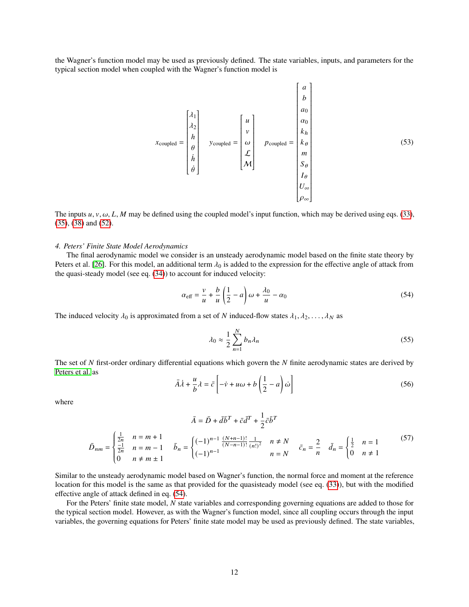the Wagner's function model may be used as previously defined. The state variables, inputs, and parameters for the typical section model when coupled with the Wagner's function model is

$$
x_{\text{coupled}} = \begin{bmatrix} \lambda_1 \\ \lambda_2 \\ \lambda_3 \\ \mu \\ \vdots \\ \mu \\ \theta \\ \theta \end{bmatrix} \quad y_{\text{coupled}} = \begin{bmatrix} u \\ v \\ w \\ \mathcal{L} \\ \mathcal{L} \\ M \end{bmatrix} \quad p_{\text{coupled}} = \begin{bmatrix} a \\ b \\ a_0 \\ k_b \\ k_b \\ m \\ \mathcal{S}_{\theta} \\ \mathcal{I}_{\theta} \\ \mathcal{I}_{\theta} \\ \mathcal{I}_{\phi} \\ \mathcal{V}_{\infty} \end{bmatrix} \tag{53}
$$

The inputs  $u, v, \omega, L, M$  may be defined using the coupled model's input function, which may be derived using eqs. [\(33\)](#page-9-3), [\(35\)](#page-10-0), [\(38\)](#page-10-2) and [\(52\)](#page-11-0).

#### *4. Peters' Finite State Model Aerodynamics*

The final aerodynamic model we consider is an unsteady aerodynamic model based on the finite state theory by Peters et al. [\[26\]](#page-18-17). For this model, an additional term  $\lambda_0$  is added to the expression for the effective angle of attack from the quasi-steady model (see eq. [\(34\)](#page-9-4)) to account for induced velocity:

<span id="page-12-0"></span>
$$
\alpha_{\text{eff}} = \frac{v}{u} + \frac{b}{u} \left( \frac{1}{2} - a \right) \omega + \frac{\lambda_0}{u} - \alpha_0 \tag{54}
$$

The induced velocity  $\lambda_0$  is approximated from a set of N induced-flow states  $\lambda_1, \lambda_2, \dots, \lambda_N$  as

$$
\lambda_0 \approx \frac{1}{2} \sum_{n=1}^{N} b_n \lambda_n \tag{55}
$$

The set of  $N$  first-order ordinary differential equations which govern the  $N$  finite aerodynamic states are derived by [Peters et al.](#page-18-17) as

$$
\bar{A}\dot{\lambda} + \frac{u}{b}\lambda = \bar{c} \left[ -\dot{v} + u\omega + b\left(\frac{1}{2} - a\right)\dot{\omega} \right]
$$
 (56)

where

$$
\bar{A} = \bar{D} + d\bar{b}^T + \bar{c}d^T + \frac{1}{2}\bar{c}\bar{b}^T
$$
  

$$
\bar{D}_{nm} = \begin{cases} \frac{1}{2n} & n = m+1 \\ \frac{-1}{2n} & n = m-1 \\ 0 & n \neq m \pm 1 \end{cases} \quad \bar{b}_n = \begin{cases} (-1)^{n-1} \frac{(N+n-1)!}{(N-n-1)!} \frac{1}{(n!)^2} & n \neq N \\ (-1)^{n-1} & n = N \end{cases} \quad \bar{c}_n = \frac{2}{n} \quad \bar{d}_n = \begin{cases} \frac{1}{2} & n = 1 \\ 0 & n \neq 1 \end{cases} \tag{57}
$$

Similar to the unsteady aerodynamic model based on Wagner's function, the normal force and moment at the reference location for this model is the same as that provided for the quasisteady model (see eq. [\(33\)](#page-9-3)), but with the modified effective angle of attack defined in eq. [\(54\)](#page-12-0).

For the Peters' finite state model,  $N$  state variables and corresponding governing equations are added to those for the typical section model. However, as with the Wagner's function model, since all coupling occurs through the input variables, the governing equations for Peters' finite state model may be used as previously defined. The state variables,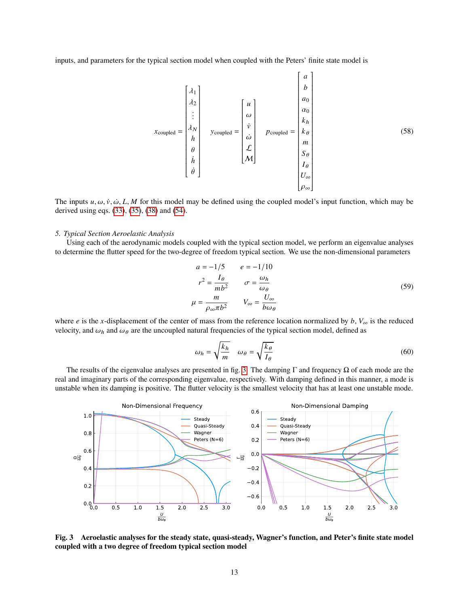inputs, and parameters for the typical section model when coupled with the Peters' finite state model is

coupled = 1 2 . . . ℎ ℎ¤ ¤ coupled = ¤ ¤ L M coupled = 0 0 ℎ <sup>∞</sup> ∞ (58)

The inputs  $u, \omega, \dot{v}, \dot{\omega}, L, M$  for this model may be defined using the coupled model's input function, which may be derived using eqs. [\(33\)](#page-9-3), [\(35\)](#page-10-0), [\(38\)](#page-10-2) and [\(54\)](#page-12-0).

#### *5. Typical Section Aeroelastic Analysis*

Using each of the aerodynamic models coupled with the typical section model, we perform an eigenvalue analyses to determine the flutter speed for the two-degree of freedom typical section. We use the non-dimensional parameters

$$
a = -1/5 \qquad e = -1/10
$$
  

$$
r^{2} = \frac{I_{\theta}}{mb^{2}} \qquad \sigma = \frac{\omega_{h}}{\omega_{\theta}}
$$
  

$$
\mu = \frac{m}{\rho_{\infty} \pi b^{2}} \qquad V_{\infty} = \frac{U_{\infty}}{b \omega_{\theta}}
$$
 (59)

where *e* is the x-displacement of the center of mass from the reference location normalized by  $b$ ,  $V_{\infty}$  is the reduced velocity, and  $\omega_h$  and  $\omega_\theta$  are the uncoupled natural frequencies of the typical section model, defined as

$$
\omega_h = \sqrt{\frac{k_h}{m}} \quad \omega_\theta = \sqrt{\frac{k_\theta}{I_\theta}}
$$
\n<sup>(60)</sup>

The results of the eigenvalue analyses are presented in fig. [3.](#page-13-0) The damping  $\Gamma$  and frequency  $\Omega$  of each mode are the real and imaginary parts of the corresponding eigenvalue, respectively. With damping defined in this manner, a mode is unstable when its damping is positive. The flutter velocity is the smallest velocity that has at least one unstable mode.

<span id="page-13-0"></span>

**Fig. 3 Aeroelastic analyses for the steady state, quasi-steady, Wagner's function, and Peter's finite state model coupled with a two degree of freedom typical section model**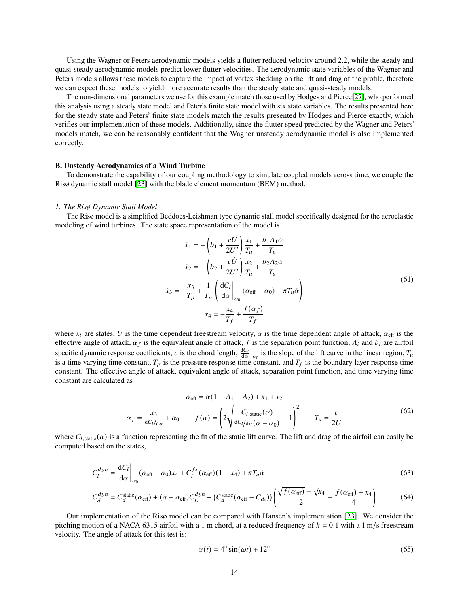Using the Wagner or Peters aerodynamic models yields a flutter reduced velocity around 2.2, while the steady and quasi-steady aerodynamic models predict lower flutter velocities. The aerodynamic state variables of the Wagner and Peters models allows these models to capture the impact of vortex shedding on the lift and drag of the profile, therefore we can expect these models to yield more accurate results than the steady state and quasi-steady models.

The non-dimensional parameters we use for this example match those used by Hodges and Pierce[\[27\]](#page-18-18), who performed this analysis using a steady state model and Peter's finite state model with six state variables. The results presented here for the steady state and Peters' finite state models match the results presented by Hodges and Pierce exactly, which verifies our implementation of these models. Additionally, since the flutter speed predicted by the Wagner and Peters' models match, we can be reasonably confident that the Wagner unsteady aerodynamic model is also implemented correctly.

#### **B. Unsteady Aerodynamics of a Wind Turbine**

To demonstrate the capability of our coupling methodology to simulate coupled models across time, we couple the Risø dynamic stall model [\[23\]](#page-18-14) with the blade element momentum (BEM) method.

#### *1. The Risø Dynamic Stall Model*

The Risø model is a simplified Beddoes-Leishman type dynamic stall model specifically designed for the aeroelastic modeling of wind turbines. The state space representation of the model is

<span id="page-14-0"></span>
$$
\dot{x}_1 = -\left(b_1 + \frac{c\dot{U}}{2U^2}\right) \frac{x_1}{T_u} + \frac{b_1 A_1 \alpha}{T_u}
$$
\n
$$
\dot{x}_2 = -\left(b_2 + \frac{c\dot{U}}{2U^2}\right) \frac{x_2}{T_u} + \frac{b_2 A_2 \alpha}{T_u}
$$
\n
$$
\dot{x}_3 = -\frac{x_3}{T_p} + \frac{1}{T_p} \left(\frac{dC_l}{d\alpha}\bigg|_{\alpha_0} \left(\alpha_{\text{eff}} - \alpha_0\right) + \pi T_u \dot{\alpha}\right)
$$
\n
$$
\dot{x}_4 = -\frac{x_4}{T_f} + \frac{f(\alpha_f)}{T_f}
$$
\n(61)

where  $x_i$  are states, U is the time dependent freestream velocity,  $\alpha$  is the time dependent angle of attack,  $\alpha_{\text{eff}}$  is the effective angle of attack,  $\alpha_f$  is the equivalent angle of attack, f is the separation point function,  $A_i$  and  $b_i$  are airfoil specific dynamic response coefficients, c is the chord length,  $\frac{dC_l}{d\alpha}\big|_{\alpha_0}$  is the slope of the lift curve in the linear region,  $T_u$ is a time varying time constant,  $T_p$  is the pressure response time constant, and  $T_f$  is the boundary layer response time constant. The effective angle of attack, equivalent angle of attack, separation point function, and time varying time constant are calculated as

$$
\alpha_{\text{eff}} = \alpha (1 - A_1 - A_2) + x_1 + x_2
$$

$$
\alpha_f = \frac{x_3}{dC_l/d\alpha} + \alpha_0 \qquad f(\alpha) = \left(2\sqrt{\frac{C_{l,\text{static}}(\alpha)}{dC_l/d\alpha(\alpha - \alpha_0)}} - 1\right)^2 \qquad T_u = \frac{c}{2U}
$$
(62)

where  $C_{l, \text{static}}(\alpha)$  is a function representing the fit of the static lift curve. The lift and drag of the airfoil can easily be computed based on the states,

$$
C_l^{dyn} = \frac{\mathrm{d}C_l}{\mathrm{d}\alpha} \bigg|_{\alpha_0} (\alpha_{\text{eff}} - \alpha_0) x_4 + C_l^{fs} (\alpha_{\text{eff}}) (1 - x_4) + \pi T_u \dot{\alpha} \tag{63}
$$

$$
C_d^{dyn} = C_d^{\text{static}}(\alpha_{\text{eff}}) + (\alpha - \alpha_{\text{eff}})C_L^{dyn} + (C_d^{\text{static}}(\alpha_{\text{eff}} - C_{d_0}))\left(\frac{\sqrt{f(\alpha_{\text{eff}})} - \sqrt{x_4}}{2} - \frac{f(\alpha_{\text{eff}}) - x_4}{4}\right)
$$
(64)

Our implementation of the Risø model can be compared with Hansen's implementation [\[23\]](#page-18-14). We consider the pitching motion of a NACA 6315 airfoil with a 1 m chord, at a reduced frequency of  $k = 0.1$  with a 1 m/s freestream velocity. The angle of attack for this test is:

<span id="page-14-2"></span><span id="page-14-1"></span>
$$
\alpha(t) = 4^{\circ} \sin(\omega t) + 12^{\circ} \tag{65}
$$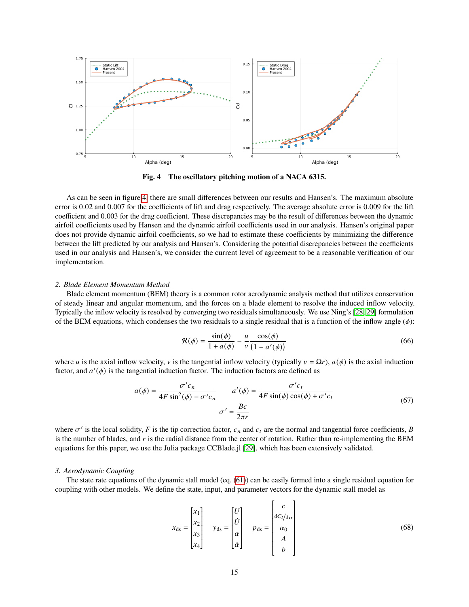<span id="page-15-0"></span>

**Fig. 4 The oscillatory pitching motion of a NACA 6315.**

As can be seen in figure [4,](#page-15-0) there are small differences between our results and Hansen's. The maximum absolute error is 0.02 and 0.007 for the coefficients of lift and drag respectively. The average absolute error is 0.009 for the lift coefficient and 0.003 for the drag coefficient. These discrepancies may be the result of differences between the dynamic airfoil coefficients used by Hansen and the dynamic airfoil coefficients used in our analysis. Hansen's original paper does not provide dynamic airfoil coefficients, so we had to estimate these coefficients by minimizing the difference between the lift predicted by our analysis and Hansen's. Considering the potential discrepancies between the coefficients used in our analysis and Hansen's, we consider the current level of agreement to be a reasonable verification of our implementation.

#### *2. Blade Element Momentum Method*

Blade element momentum (BEM) theory is a common rotor aerodynamic analysis method that utilizes conservation of steady linear and angular momentum, and the forces on a blade element to resolve the induced inflow velocity. Typically the inflow velocity is resolved by converging two residuals simultaneously. We use Ning's [\[28,](#page-18-19) [29\]](#page-18-20) formulation of the BEM equations, which condenses the two residuals to a single residual that is a function of the inflow angle  $(\phi)$ :

$$
\mathcal{R}(\phi) = \frac{\sin(\phi)}{1 + a(\phi)} - \frac{u}{v} \frac{\cos(\phi)}{(1 - a'(\phi))}
$$
(66)

where *u* is the axial inflow velocity, *v* is the tangential inflow velocity (typically  $v = \Omega r$ ),  $a(\phi)$  is the axial induction factor, and  $a'(\phi)$  is the tangential induction factor. The induction factors are defined as

$$
a(\phi) = \frac{\sigma' c_n}{4F \sin^2(\phi) - \sigma' c_n} \qquad a'(\phi) = \frac{\sigma' c_t}{4F \sin(\phi) \cos(\phi) + \sigma' c_t}
$$
  

$$
\sigma' = \frac{Bc}{2\pi r}
$$
 (67)

where  $\sigma'$  is the local solidity, F is the tip correction factor,  $c_n$  and  $c_t$  are the normal and tangential force coefficients, B is the number of blades, and  $r$  is the radial distance from the center of rotation. Rather than re-implementing the BEM equations for this paper, we use the Julia package CCBlade.jl [\[29\]](#page-18-20), which has been extensively validated.

#### *3. Aerodynamic Coupling*

The state rate equations of the dynamic stall model (eq. [\(61\)](#page-14-0)) can be easily formed into a single residual equation for coupling with other models. We define the state, input, and parameter vectors for the dynamic stall model as

$$
x_{ds} = \begin{bmatrix} x_1 \\ x_2 \\ x_3 \\ x_4 \end{bmatrix} \quad y_{ds} = \begin{bmatrix} U \\ U \\ \alpha \\ \alpha \\ \dot{\alpha} \end{bmatrix} \quad p_{ds} = \begin{bmatrix} c \\ dC_l/d\alpha \\ \alpha_0 \\ A \\ b \end{bmatrix} \tag{68}
$$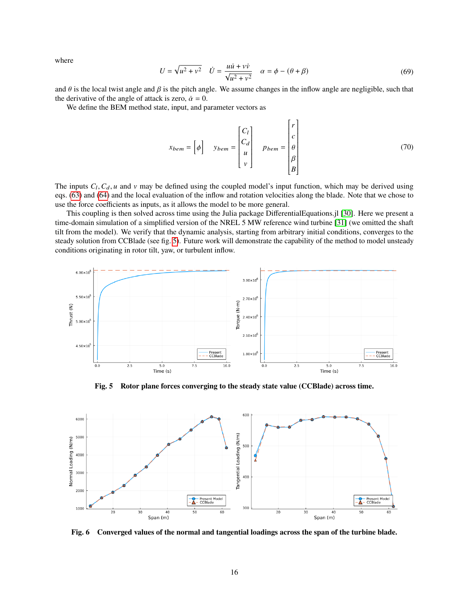where

$$
U = \sqrt{u^2 + v^2} \quad \dot{U} = \frac{u\dot{u} + v\dot{v}}{\sqrt{u^2 + v^2}} \quad \alpha = \phi - (\theta + \beta)
$$
 (69)

and  $\theta$  is the local twist angle and  $\beta$  is the pitch angle. We assume changes in the inflow angle are negligible, such that the derivative of the angle of attack is zero,  $\dot{\alpha} = 0$ .

We define the BEM method state, input, and parameter vectors as

$$
x_{bem} = \begin{bmatrix} \phi \end{bmatrix} \quad y_{bem} = \begin{bmatrix} C_l \\ C_d \\ u \\ v \end{bmatrix} \quad p_{bem} = \begin{bmatrix} r \\ c \\ \theta \\ \beta \\ B \end{bmatrix} \tag{70}
$$

The inputs  $C_l, C_d, u$  and v may be defined using the coupled model's input function, which may be derived using eqs. [\(63\)](#page-14-1) and [\(64\)](#page-14-2) and the local evaluation of the inflow and rotation velocities along the blade. Note that we chose to use the force coefficients as inputs, as it allows the model to be more general.

This coupling is then solved across time using the Julia package DifferentialEquations.jl [\[30\]](#page-18-21). Here we present a time-domain simulation of a simplified version of the NREL 5 MW reference wind turbine [\[31\]](#page-18-22) (we omitted the shaft tilt from the model). We verify that the dynamic analysis, starting from arbitrary initial conditions, converges to the steady solution from CCBlade (see fig. [5\)](#page-16-0). Future work will demonstrate the capability of the method to model unsteady conditions originating in rotor tilt, yaw, or turbulent inflow.

<span id="page-16-0"></span>

**Fig. 5 Rotor plane forces converging to the steady state value (CCBlade) across time.**



**Fig. 6 Converged values of the normal and tangential loadings across the span of the turbine blade.**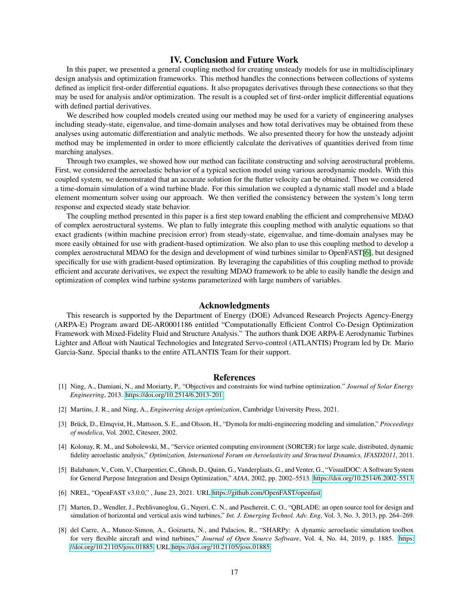## **IV. Conclusion and Future Work**

In this paper, we presented a general coupling method for creating unsteady models for use in multidisciplinary design analysis and optimization frameworks. This method handles the connections between collections of systems defined as implicit first-order differential equations. It also propagates derivatives through these connections so that they may be used for analysis and/or optimization. The result is a coupled set of first-order implicit differential equations with defined partial derivatives.

We described how coupled models created using our method may be used for a variety of engineering analyses including steady-state, eigenvalue, and time-domain analyses and how total derivatives may be obtained from these analyses using automatic differentiation and analytic methods. We also presented theory for how the unsteady adjoint method may be implemented in order to more efficiently calculate the derivatives of quantities derived from time marching analyses.

Through two examples, we showed how our method can facilitate constructing and solving aerostructural problems. First, we considered the aeroelastic behavior of a typical section model using various aerodynamic models. With this coupled system, we demonstrated that an accurate solution for the flutter velocity can be obtained. Then we considered a time-domain simulation of a wind turbine blade. For this simulation we coupled a dynamic stall model and a blade element momentum solver using our approach. We then verified the consistency between the system's long term response and expected steady state behavior.

The coupling method presented in this paper is a first step toward enabling the efficient and comprehensive MDAO of complex aerostructural systems. We plan to fully integrate this coupling method with analytic equations so that exact gradients (within machine precision error) from steady-state, eigenvalue, and time-domain analyses may be more easily obtained for use with gradient-based optimization. We also plan to use this coupling method to develop a complex aerostructural MDAO for the design and development of wind turbines similar to OpenFAST[\[6\]](#page-17-5), but designed specifically for use with gradient-based optimization. By leveraging the capabilities of this coupling method to provide efficient and accurate derivatives, we expect the resulting MDAO framework to be able to easily handle the design and optimization of complex wind turbine systems parameterized with large numbers of variables.

## **Acknowledgments**

This research is supported by the Department of Energy (DOE) Advanced Research Projects Agency-Energy (ARPA-E) Program award DE-AR0001186 entitled "Computationally Efficient Control Co-Design Optimization Framework with Mixed-Fidelity Fluid and Structure Analysis." The authors thank DOE ARPA-E Aerodynamic Turbines Lighter and Afloat with Nautical Technologies and Integrated Servo-control (ATLANTIS) Program led by Dr. Mario Garcia-Sanz. Special thanks to the entire ATLANTIS Team for their support.

#### **References**

- <span id="page-17-0"></span>[1] Ning, A., Damiani, N., and Moriarty, P., "Objectives and constraints for wind turbine optimization." *Journal of Solar Energy Engineering*, 2013. [https://doi.org/10.2514/6.2013-201.](https://doi.org/10.2514/6.2013-201)
- <span id="page-17-1"></span>[2] Martins, J. R., and Ning, A., *Engineering design optimization*, Cambridge University Press, 2021.
- <span id="page-17-2"></span>[3] Brück, D., Elmqvist, H., Mattsson, S. E., and Olsson, H., "Dymola for multi-engineering modeling and simulation," *Proceedings of modelica*, Vol. 2002, Citeseer, 2002.
- <span id="page-17-3"></span>[4] Kolonay, R. M., and Sobolewski, M., "Service oriented computing environment (SORCER) for large scale, distributed, dynamic fidelity aeroelastic analysis," *Optimization, International Forum on Aeroelasticity and Structural Dynamics, IFASD2011*, 2011.
- <span id="page-17-4"></span>[5] Balabanov, V., Com, V., Charpentier, C., Ghosh, D., Quinn, G., Vanderplaats, G., and Venter, G., "VisualDOC: A Software System for General Purpose Integration and Design Optimization," *AIAA*, 2002, pp. 2002–5513. [https://doi.org/10.2514/6.2002-5513.](https://doi.org/10.2514/6.2002-5513)
- <span id="page-17-5"></span>[6] NREL, "OpenFAST v3.0.0," , June 23, 2021. URL [https://github.com/OpenFAST/openfast.](https://github.com/OpenFAST/openfast)
- <span id="page-17-6"></span>[7] Marten, D., Wendler, J., Pechlivanoglou, G., Nayeri, C. N., and Paschereit, C. O., "QBLADE: an open source tool for design and simulation of horizontal and vertical axis wind turbines," *Int. J. Emerging Technol. Adv. Eng*, Vol. 3, No. 3, 2013, pp. 264–269.
- <span id="page-17-7"></span>[8] del Carre, A., Munoz-Simon, A., Goizueta, N., and Palacios, R., "SHARPy: A dynamic aeroelastic simulation toolbox for very flexible aircraft and wind turbines," *Journal of Open Source Software*, Vol. 4, No. 44, 2019, p. 1885. [https:](https://doi.org/10.21105/joss.01885) [//doi.org/10.21105/joss.01885,](https://doi.org/10.21105/joss.01885) URL [https://doi.org/10.21105/joss.01885.](https://doi.org/10.21105/joss.01885)